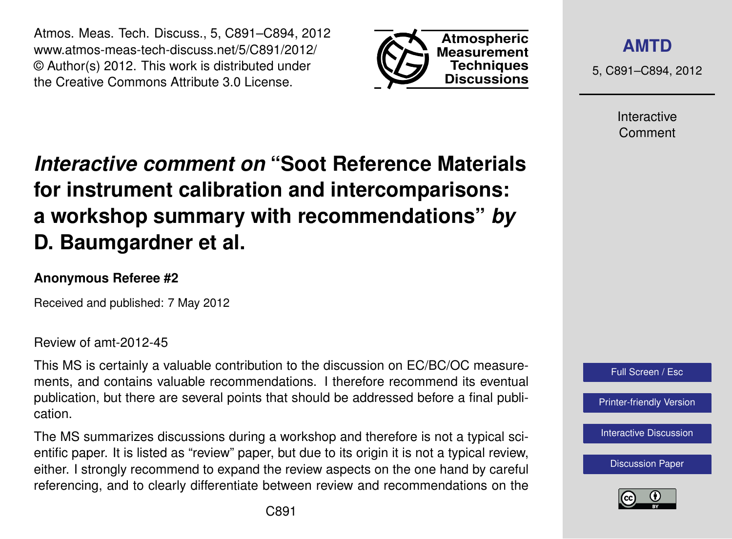Atmos. Meas. Tech. Discuss., 5, C891–C894, 2012 www.atmos-meas-tech-discuss.net/5/C891/2012/ © Author(s) 2012. This work is distributed under the Creative Commons Attribute 3.0 License.



**[AMTD](http://www.atmos-meas-tech-discuss.net)**

5, C891–C894, 2012

Interactive Comment

# *Interactive comment on* **"Soot Reference Materials for instrument calibration and intercomparisons: a workshop summary with recommendations"** *by* **D. Baumgardner et al.**

### **Anonymous Referee #2**

Received and published: 7 May 2012

Review of amt-2012-45

This MS is certainly a valuable contribution to the discussion on EC/BC/OC measurements, and contains valuable recommendations. I therefore recommend its eventual publication, but there are several points that should be addressed before a final publication.

The MS summarizes discussions during a workshop and therefore is not a typical scientific paper. It is listed as "review" paper, but due to its origin it is not a typical review, either. I strongly recommend to expand the review aspects on the one hand by careful referencing, and to clearly differentiate between review and recommendations on the



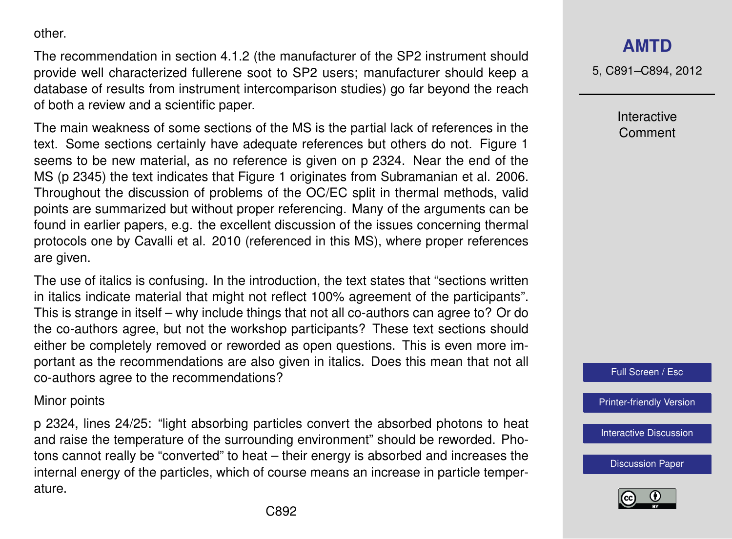other.

The recommendation in section 4.1.2 (the manufacturer of the SP2 instrument should provide well characterized fullerene soot to SP2 users; manufacturer should keep a database of results from instrument intercomparison studies) go far beyond the reach of both a review and a scientific paper.

The main weakness of some sections of the MS is the partial lack of references in the text. Some sections certainly have adequate references but others do not. Figure 1 seems to be new material, as no reference is given on p 2324. Near the end of the MS (p 2345) the text indicates that Figure 1 originates from Subramanian et al. 2006. Throughout the discussion of problems of the OC/EC split in thermal methods, valid points are summarized but without proper referencing. Many of the arguments can be found in earlier papers, e.g. the excellent discussion of the issues concerning thermal protocols one by Cavalli et al. 2010 (referenced in this MS), where proper references are given.

The use of italics is confusing. In the introduction, the text states that "sections written in italics indicate material that might not reflect 100% agreement of the participants". This is strange in itself – why include things that not all co-authors can agree to? Or do the co-authors agree, but not the workshop participants? These text sections should either be completely removed or reworded as open questions. This is even more important as the recommendations are also given in italics. Does this mean that not all co-authors agree to the recommendations?

#### Minor points

p 2324, lines 24/25: "light absorbing particles convert the absorbed photons to heat and raise the temperature of the surrounding environment" should be reworded. Photons cannot really be "converted" to heat – their energy is absorbed and increases the internal energy of the particles, which of course means an increase in particle temperature.

## **[AMTD](http://www.atmos-meas-tech-discuss.net)**

5, C891–C894, 2012

Interactive Comment



[Printer-friendly Version](http://www.atmos-meas-tech-discuss.net/5/C891/2012/amtd-5-C891-2012-print.pdf)

[Interactive Discussion](http://www.atmos-meas-tech-discuss.net/5/2315/2012/amtd-5-2315-2012-discussion.html)

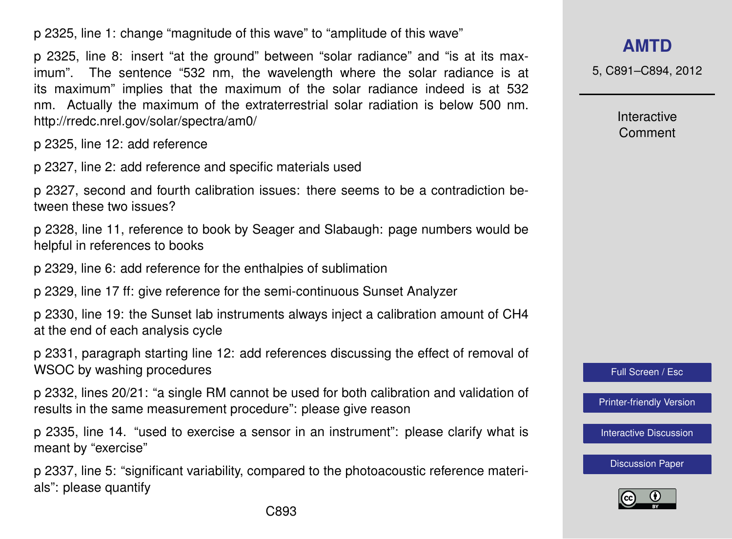p 2325, line 1: change "magnitude of this wave" to "amplitude of this wave"

p 2325, line 8: insert "at the ground" between "solar radiance" and "is at its maximum". The sentence "532 nm, the wavelength where the solar radiance is at its maximum" implies that the maximum of the solar radiance indeed is at 532 nm. Actually the maximum of the extraterrestrial solar radiation is below 500 nm. http://rredc.nrel.gov/solar/spectra/am0/

p 2325, line 12: add reference

p 2327, line 2: add reference and specific materials used

p 2327, second and fourth calibration issues: there seems to be a contradiction between these two issues?

p 2328, line 11, reference to book by Seager and Slabaugh: page numbers would be helpful in references to books

p 2329, line 6: add reference for the enthalpies of sublimation

p 2329, line 17 ff: give reference for the semi-continuous Sunset Analyzer

p 2330, line 19: the Sunset lab instruments always inject a calibration amount of CH4 at the end of each analysis cycle

p 2331, paragraph starting line 12: add references discussing the effect of removal of WSOC by washing procedures

p 2332, lines 20/21: "a single RM cannot be used for both calibration and validation of results in the same measurement procedure": please give reason

p 2335, line 14. "used to exercise a sensor in an instrument": please clarify what is meant by "exercise"

p 2337, line 5: "significant variability, compared to the photoacoustic reference materials": please quantify

**[AMTD](http://www.atmos-meas-tech-discuss.net)**

5, C891–C894, 2012

Interactive Comment

Full Screen / Esc

[Printer-friendly Version](http://www.atmos-meas-tech-discuss.net/5/C891/2012/amtd-5-C891-2012-print.pdf)

[Interactive Discussion](http://www.atmos-meas-tech-discuss.net/5/2315/2012/amtd-5-2315-2012-discussion.html)